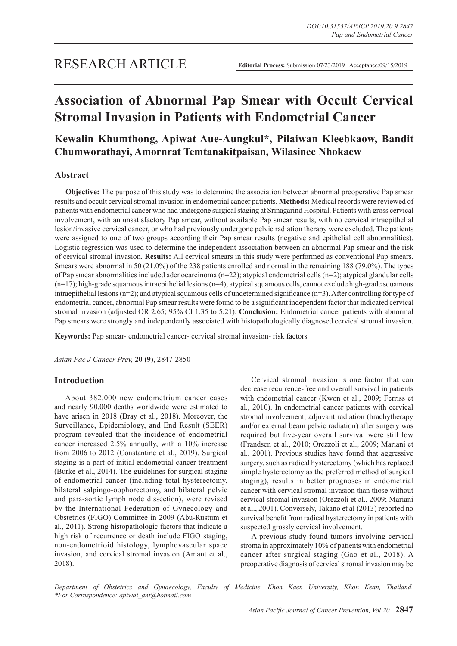# **Association of Abnormal Pap Smear with Occult Cervical Stromal Invasion in Patients with Endometrial Cancer**

# **Kewalin Khumthong, Apiwat Aue-Aungkul\*, Pilaiwan Kleebkaow, Bandit Chumworathayi, Amornrat Temtanakitpaisan, Wilasinee Nhokaew**

### **Abstract**

**Objective:** The purpose of this study was to determine the association between abnormal preoperative Pap smear results and occult cervical stromal invasion in endometrial cancer patients. **Methods:** Medical records were reviewed of patients with endometrial cancer who had undergone surgical staging at Srinagarind Hospital. Patients with gross cervical involvement, with an unsatisfactory Pap smear, without available Pap smear results, with no cervical intraepithelial lesion/invasive cervical cancer, or who had previously undergone pelvic radiation therapy were excluded. The patients were assigned to one of two groups according their Pap smear results (negative and epithelial cell abnormalities). Logistic regression was used to determine the independent association between an abnormal Pap smear and the risk of cervical stromal invasion. **Results:** All cervical smears in this study were performed as conventional Pap smears. Smears were abnormal in 50 (21.0%) of the 238 patients enrolled and normal in the remaining 188 (79.0%). The types of Pap smear abnormalities included adenocarcinoma (n=22); atypical endometrial cells (n=2); atypical glandular cells  $(n=17)$ ; high-grade squamous intraepithelial lesions  $(n=4)$ ; atypical squamous cells, cannot exclude high-grade squamous intraepithelial lesions (n=2); and atypical squamous cells of undetermined significance (n=3). After controlling for type of endometrial cancer, abnormal Pap smear results were found to be a significant independent factor that indicated cervical stromal invasion (adjusted OR 2.65; 95% CI 1.35 to 5.21). **Conclusion:** Endometrial cancer patients with abnormal Pap smears were strongly and independently associated with histopathologically diagnosed cervical stromal invasion.

**Keywords:** Pap smear- endometrial cancer- cervical stromal invasion- risk factors

*Asian Pac J Cancer Prev,* **20 (9)**, 2847-2850

#### **Introduction**

About 382,000 new endometrium cancer cases and nearly 90,000 deaths worldwide were estimated to have arisen in 2018 (Bray et al., 2018). Moreover, the Surveillance, Epidemiology, and End Result (SEER) program revealed that the incidence of endometrial cancer increased 2.5% annually, with a 10% increase from 2006 to 2012 (Constantine et al., 2019). Surgical staging is a part of initial endometrial cancer treatment (Burke et al., 2014). The guidelines for surgical staging of endometrial cancer (including total hysterectomy, bilateral salpingo-oophorectomy, and bilateral pelvic and para-aortic lymph node dissection), were revised by the International Federation of Gynecology and Obstetrics (FIGO) Committee in 2009 (Abu-Rustum et al., 2011). Strong histopathologic factors that indicate a high risk of recurrence or death include FIGO staging, non-endometrioid histology, lymphovascular space invasion, and cervical stromal invasion (Amant et al., 2018).

Cervical stromal invasion is one factor that can decrease recurrence-free and overall survival in patients with endometrial cancer (Kwon et al., 2009; Ferriss et al., 2010). In endometrial cancer patients with cervical stromal involvement, adjuvant radiation (brachytherapy and/or external beam pelvic radiation) after surgery was required but five-year overall survival were still low (Frandsen et al., 2010; Orezzoli et al., 2009; Mariani et al., 2001). Previous studies have found that aggressive surgery, such as radical hysterectomy (which has replaced simple hysterectomy as the preferred method of surgical staging), results in better prognoses in endometrial cancer with cervical stromal invasion than those without cervical stromal invasion (Orezzoli et al., 2009; Mariani et al., 2001). Conversely, Takano et al (2013) reported no survival benefit from radical hysterectomy in patients with suspected grossly cervical involvement.

A previous study found tumors involving cervical stroma in approximately 10% of patients with endometrial cancer after surgical staging (Gao et al., 2018). A preoperative diagnosis of cervical stromal invasion may be

*Department of Obstetrics and Gynaecology, Faculty of Medicine, Khon Kaen University, Khon Kean, Thailand. \*For Correspondence: apiwat\_ant@hotmail.com*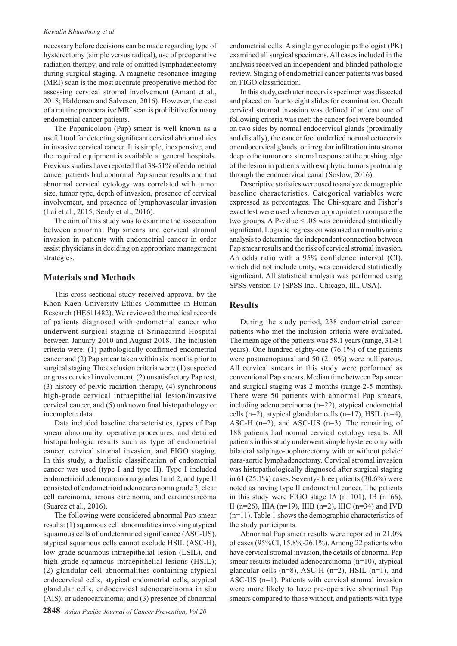#### *Kewalin Khumthong et al*

necessary before decisions can be made regarding type of hysterectomy (simple versus radical), use of preoperative radiation therapy, and role of omitted lymphadenectomy during surgical staging. A magnetic resonance imaging (MRI) scan is the most accurate preoperative method for assessing cervical stromal involvement (Amant et al., 2018; Haldorsen and Salvesen, 2016). However, the cost of a routine preoperative MRI scan is prohibitive for many endometrial cancer patients.

The Papanicolaou (Pap) smear is well known as a useful tool for detecting significant cervical abnormalities in invasive cervical cancer. It is simple, inexpensive, and the required equipment is available at general hospitals. Previous studies have reported that 38-51% of endometrial cancer patients had abnormal Pap smear results and that abnormal cervical cytology was correlated with tumor size, tumor type, depth of invasion, presence of cervical involvement, and presence of lymphovascular invasion (Lai et al., 2015; Serdy et al., 2016).

The aim of this study was to examine the association between abnormal Pap smears and cervical stromal invasion in patients with endometrial cancer in order assist physicians in deciding on appropriate management strategies.

### **Materials and Methods**

This cross-sectional study received approval by the Khon Kaen University Ethics Committee in Human Research (HE611482). We reviewed the medical records of patients diagnosed with endometrial cancer who underwent surgical staging at Srinagarind Hospital between January 2010 and August 2018. The inclusion criteria were: (1) pathologically confirmed endometrial cancer and (2) Pap smear taken within six months prior to surgical staging. The exclusion criteria were: (1) suspected or gross cervical involvement, (2) unsatisfactory Pap test, (3) history of pelvic radiation therapy, (4) synchronous high-grade cervical intraepithelial lesion/invasive cervical cancer, and (5) unknown final histopathology or incomplete data.

Data included baseline characteristics, types of Pap smear abnormality, operative procedures, and detailed histopathologic results such as type of endometrial cancer, cervical stromal invasion, and FIGO staging. In this study, a dualistic classification of endometrial cancer was used (type I and type II). Type I included endometrioid adenocarcinoma grades 1and 2, and type II consisted of endometrioid adenocarcinoma grade 3, clear cell carcinoma, serous carcinoma, and carcinosarcoma (Suarez et al., 2016).

The following were considered abnormal Pap smear results: (1) squamous cell abnormalities involving atypical squamous cells of undetermined significance (ASC-US). atypical squamous cells cannot exclude HSIL (ASC-H), low grade squamous intraepithelial lesion (LSIL), and high grade squamous intraepithelial lesions (HSIL); (2) glandular cell abnormalities containing atypical endocervical cells, atypical endometrial cells, atypical glandular cells, endocervical adenocarcinoma in situ (AIS), or adenocarcinoma; and (3) presence of abnormal

endometrial cells. A single gynecologic pathologist (PK) examined all surgical specimens. All cases included in the analysis received an independent and blinded pathologic review. Staging of endometrial cancer patients was based on FIGO classification.

In this study, each uterine cervix specimen was dissected and placed on four to eight slides for examination. Occult cervical stromal invasion was defined if at least one of following criteria was met: the cancer foci were bounded on two sides by normal endocervical glands (proximally and distally), the cancer foci underlied normal ectocervix or endocervical glands, or irregular infiltration into stroma deep to the tumor or a stromal response at the pushing edge of the lesion in patients with exophytic tumors protruding through the endocervical canal (Soslow, 2016).

Descriptive statistics were used to analyze demographic baseline characteristics. Categorical variables were expressed as percentages. The Chi-square and Fisher's exact test were used whenever appropriate to compare the two groups. A P-value < .05 was considered statistically significant. Logistic regression was used as a multivariate analysis to determine the independent connection between Pap smear results and the risk of cervical stromal invasion. An odds ratio with a 95% confidence interval (CI), which did not include unity, was considered statistically significant. All statistical analysis was performed using SPSS version 17 (SPSS Inc., Chicago, Ill., USA).

#### **Results**

During the study period, 238 endometrial cancer patients who met the inclusion criteria were evaluated. The mean age of the patients was 58.1 years (range, 31-81 years). One hundred eighty-one (76.1%) of the patients were postmenopausal and 50 (21.0%) were nulliparous. All cervical smears in this study were performed as conventional Pap smears. Median time between Pap smear and surgical staging was 2 months (range 2-5 months). There were 50 patients with abnormal Pap smears, including adenocarcinoma (n=22), atypical endometrial cells (n=2), atypical glandular cells (n=17), HSIL (n=4), ASC-H (n=2), and ASC-US (n=3). The remaining of 188 patients had normal cervical cytology results. All patients in this study underwent simple hysterectomy with bilateral salpingo-oophorectomy with or without pelvic/ para-aortic lymphadenectomy. Cervical stromal invasion was histopathologically diagnosed after surgical staging in  $61$  (25.1%) cases. Seventy-three patients (30.6%) were noted as having type II endometrial cancer. The patients in this study were FIGO stage IA  $(n=101)$ , IB  $(n=66)$ , II (n=26), IIIA (n=19), IIIB (n=2), IIIC (n=34) and IVB (n=11). Table 1 shows the demographic characteristics of the study participants.

Abnormal Pap smear results were reported in 21.0% of cases (95%CI, 15.8%-26.1%). Among 22 patients who have cervical stromal invasion, the details of abnormal Pap smear results included adenocarcinoma (n=10), atypical glandular cells (n=8), ASC-H (n=2), HSIL (n=1), and ASC-US (n=1). Patients with cervical stromal invasion were more likely to have pre-operative abnormal Pap smears compared to those without, and patients with type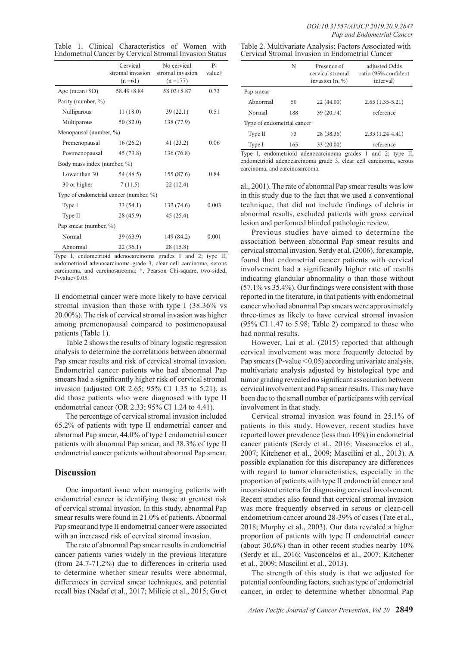|                                        | Cervical<br>stromal invasion<br>$(n=61)$ | No cervical<br>stromal invasion<br>$(n = 177)$ | $P -$<br>value† |  |  |
|----------------------------------------|------------------------------------------|------------------------------------------------|-----------------|--|--|
| Age (mean+SD)                          | $58.49 + 8.84$                           | $58.03 + 8.87$                                 | 0.73            |  |  |
| Parity (number, %)                     |                                          |                                                |                 |  |  |
| Nulliparous                            | 11(18.0)                                 | 39(22.1)                                       | 0.51            |  |  |
| Multiparous                            | 50(82.0)                                 | 138 (77.9)                                     |                 |  |  |
| Menopausal (number, %)                 |                                          |                                                |                 |  |  |
| Premenopausal                          | 16(26.2)                                 | 41(23.2)                                       | 0.06            |  |  |
| Postmenopausal                         | 45(73.8)                                 | 136 (76.8)                                     |                 |  |  |
| Body mass index (number, %)            |                                          |                                                |                 |  |  |
| Lower than 30                          | 54 (88.5)                                | 155 (87.6)                                     | 0.84            |  |  |
| 30 or higher                           | 7(11.5)                                  | 22(12.4)                                       |                 |  |  |
| Type of endometrial cancer (number, %) |                                          |                                                |                 |  |  |
| Type I                                 | 33(54.1)                                 | 132 (74.6)                                     | 0.003           |  |  |
| Type II                                | 28 (45.9)                                | 45 (25.4)                                      |                 |  |  |
| Pap smear (number, %)                  |                                          |                                                |                 |  |  |
| Normal                                 | 39(63.9)                                 | 149 (84.2)                                     | 0.001           |  |  |
| Abnormal                               | 22(36.1)                                 | 28 (15.8)                                      |                 |  |  |

Table 1. Clinical Characteristics of Women with Endometrial Cancer by Cervical Stromal Invasion Status

Type I, endometrioid adenocarcinoma grades 1 and 2; type II, endometrioid adenocarcinoma grade 3, clear cell carcinoma, serous carcinoma, and carcinosarcoma; †, Pearson Chi-square, two-sided, P-value<0.05.

II endometrial cancer were more likely to have cervical stromal invasion than those with type I (38.36% vs 20.00%). The risk of cervical stromal invasion was higher among premenopausal compared to postmenopausal patients (Table 1).

Table 2 shows the results of binary logistic regression analysis to determine the correlations between abnormal Pap smear results and risk of cervical stromal invasion. Endometrial cancer patients who had abnormal Pap smears had a significantly higher risk of cervical stromal invasion (adjusted OR 2.65; 95% CI 1.35 to 5.21), as did those patients who were diagnosed with type II endometrial cancer (OR 2.33; 95% CI 1.24 to 4.41).

The percentage of cervical stromal invasion included 65.2% of patients with type II endometrial cancer and abnormal Pap smear, 44.0% of type I endometrial cancer patients with abnormal Pap smear, and 38.3% of type II endometrial cancer patients without abnormal Pap smear.

## **Discussion**

One important issue when managing patients with endometrial cancer is identifying those at greatest risk of cervical stromal invasion. In this study, abnormal Pap smear results were found in 21.0% of patients. Abnormal Pap smear and type II endometrial cancer were associated with an increased risk of cervical stromal invasion.

The rate of abnormal Pap smear results in endometrial cancer patients varies widely in the previous literature (from 24.7-71.2%) due to differences in criteria used to determine whether smear results were abnormal, differences in cervical smear techniques, and potential recall bias (Nadaf et al., 2017; Milicic et al., 2015; Gu et

Table 2. Multivariate Analysis: Factors Associated with Cervical Stromal Invasion in Endometrial Cancer

|                            | N   | Presence of<br>cervical stromal<br>invasion $(n, %)$ | adjusted Odds<br>ratio (95% confident<br>interval) |  |
|----------------------------|-----|------------------------------------------------------|----------------------------------------------------|--|
| Pap smear                  |     |                                                      |                                                    |  |
| Abnormal                   | 50  | 22 (44.00)                                           | $2.65(1.35-5.21)$                                  |  |
| Normal                     | 188 | 39 (20.74)                                           | reference                                          |  |
| Type of endometrial cancer |     |                                                      |                                                    |  |
| Type II                    | 73  | 28 (38.36)                                           | $2.33(1.24-4.41)$                                  |  |
| Type I                     | 165 | 33 (20.00)                                           | reference                                          |  |

Type I, endometrioid adenocarcinoma grades 1 and 2; type II, endometrioid adenocarcinoma grade 3, clear cell carcinoma, serous carcinoma, and carcinosarcoma.

al., 2001). The rate of abnormal Pap smear results was low in this study due to the fact that we used a conventional technique, that did not include findings of debris in abnormal results, excluded patients with gross cervical lesion and performed blinded pathologic review.

Previous studies have aimed to determine the association between abnormal Pap smear results and cervical stromal invasion. Serdy et al. (2006), for example, found that endometrial cancer patients with cervical involvement had a significantly higher rate of results indicating glandular abnormality o than those without (57.1% vs 35.4%). Our findings were consistent with those reported in the literature, in that patients with endometrial cancer who had abnormal Pap smears were approximately three-times as likely to have cervical stromal invasion (95% CI 1.47 to 5.98; Table 2) compared to those who had normal results.

However, Lai et al. (2015) reported that although cervical involvement was more frequently detected by Pap smears (P-value  $\leq$  0.05) according univariate analysis, multivariate analysis adjusted by histological type and tumor grading revealed no significant association between cervical involvement and Pap smear results. This may have been due to the small number of participants with cervical involvement in that study.

Cervical stromal invasion was found in 25.1% of patients in this study. However, recent studies have reported lower prevalence (less than 10%) in endometrial cancer patients (Serdy et al., 2016; Vasconcelos et al., 2007; Kitchener et al., 2009; Mascilini et al., 2013). A possible explanation for this discrepancy are differences with regard to tumor characteristics, especially in the proportion of patients with type II endometrial cancer and inconsistent criteria for diagnosing cervical involvement. Recent studies also found that cervical stromal invasion was more frequently observed in serous or clear-cell endometrium cancer around 28-39% of cases (Tate et al., 2018; Murphy et al., 2003). Our data revealed a higher proportion of patients with type II endometrial cancer (about 30.6%) than in other recent studies nearby 10% (Serdy et al., 2016; Vasconcelos et al., 2007; Kitchener et al., 2009; Mascilini et al., 2013).

The strength of this study is that we adjusted for potential confounding factors, such as type of endometrial cancer, in order to determine whether abnormal Pap